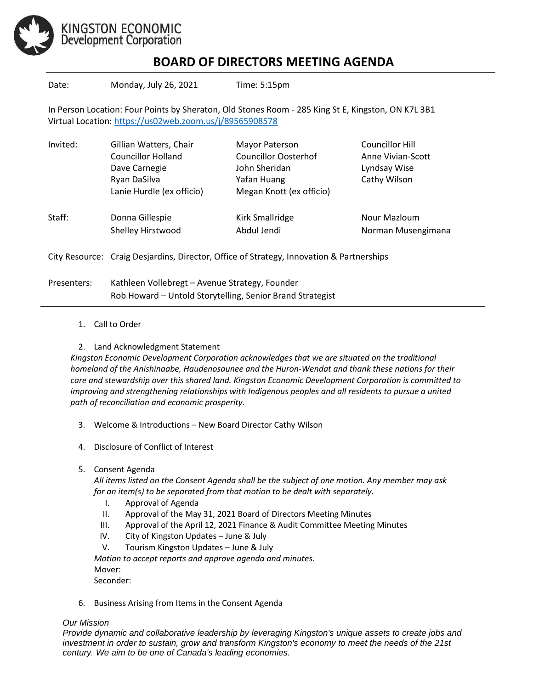

## **BOARD OF DIRECTORS MEETING AGENDA**

Date: Monday, July 26, 2021 Time: 5:15pm

In Person Location: Four Points by Sheraton, Old Stones Room - 285 King St E, Kingston, ON K7L 3B1 Virtual Location:<https://us02web.zoom.us/j/89565908578>

| Invited: | Gillian Watters, Chair                                                                   | Mayor Paterson              | Councillor Hill    |
|----------|------------------------------------------------------------------------------------------|-----------------------------|--------------------|
|          | <b>Councillor Holland</b>                                                                | <b>Councillor Oosterhof</b> | Anne Vivian-Scott  |
|          | Dave Carnegie                                                                            | John Sheridan               | Lyndsay Wise       |
|          | Ryan DaSilva                                                                             | Yafan Huang                 | Cathy Wilson       |
|          | Lanie Hurdle (ex officio)                                                                | Megan Knott (ex officio)    |                    |
| Staff:   | Donna Gillespie                                                                          | Kirk Smallridge             | Nour Mazloum       |
|          | Shelley Hirstwood                                                                        | Abdul Jendi                 | Norman Musengimana |
|          | City Resource: Craig Desjardins, Director, Office of Strategy, Innovation & Partnerships |                             |                    |

Presenters: Kathleen Vollebregt – Avenue Strategy, Founder Rob Howard – Untold Storytelling, Senior Brand Strategist

1. Call to Order

## 2. Land Acknowledgment Statement

*Kingston Economic Development Corporation acknowledges that we are situated on the traditional homeland of the Anishinaabe, Haudenosaunee and the Huron-Wendat and thank these nations for their care and stewardship over this shared land. Kingston Economic Development Corporation is committed to improving and strengthening relationships with Indigenous peoples and all residents to pursue a united path of reconciliation and economic prosperity.*

- 3. Welcome & Introductions New Board Director Cathy Wilson
- 4. Disclosure of Conflict of Interest
- 5. Consent Agenda

*All items listed on the Consent Agenda shall be the subject of one motion. Any member may ask for an item(s) to be separated from that motion to be dealt with separately.*

- I. Approval of Agenda
- II. Approval of the May 31, 2021 Board of Directors Meeting Minutes
- III. Approval of the April 12, 2021 Finance & Audit Committee Meeting Minutes
- IV. City of Kingston Updates June & July
- V. Tourism Kingston Updates June & July

*Motion to accept reports and approve agenda and minutes.*  Mover: Seconder:

6. Business Arising from Items in the Consent Agenda

## *Our Mission*

*Provide dynamic and collaborative leadership by leveraging Kingston's unique assets to create jobs and investment in order to sustain, grow and transform Kingston's economy to meet the needs of the 21st century. We aim to be one of Canada's leading economies.*